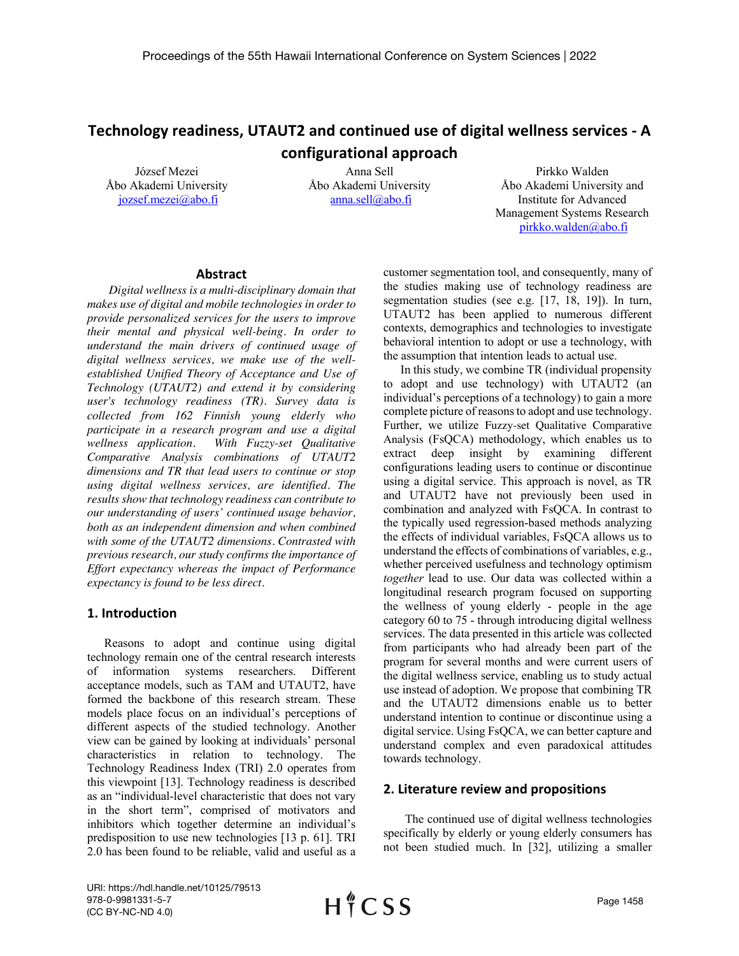# **Technology readiness, UTAUT2 and continued use of digital wellness services - A configurational approach**

József Mezei Åbo Akademi University jozsef.mezei@abo.fi

Anna Sell Åbo Akademi University anna.sell@abo.fi

Pirkko Walden Åbo Akademi University and Institute for Advanced Management Systems Research pirkko.walden@abo.fi

### **Abstract**

*Digital wellness is a multi-disciplinary domain that makes use of digital and mobile technologies in order to provide personalized services for the users to improve their mental and physical well-being. In order to understand the main drivers of continued usage of digital wellness services, we make use of the wellestablished Unified Theory of Acceptance and Use of Technology (UTAUT2) and extend it by considering user's technology readiness (TR). Survey data is collected from 162 Finnish young elderly who participate in a research program and use a digital With Fuzzy-set Qualitative Comparative Analysis combinations of UTAUT2 dimensions and TR that lead users to continue or stop using digital wellness services, are identified. The results show that technology readiness can contribute to our understanding of users' continued usage behavior, both as an independent dimension and when combined with some of the UTAUT2 dimensions. Contrasted with previous research, our study confirms the importance of Effort expectancy whereas the impact of Performance expectancy is found to be less direct.*

# **1. Introduction**

Reasons to adopt and continue using digital technology remain one of the central research interests of information systems researchers. Different acceptance models, such as TAM and UTAUT2, have formed the backbone of this research stream. These models place focus on an individual's perceptions of different aspects of the studied technology. Another view can be gained by looking at individuals' personal characteristics in relation to technology. The Technology Readiness Index (TRI) 2.0 operates from this viewpoint [13]. Technology readiness is described as an "individual-level characteristic that does not vary in the short term", comprised of motivators and inhibitors which together determine an individual's predisposition to use new technologies [13 p. 61]. TRI 2.0 has been found to be reliable, valid and useful as a

customer segmentation tool, and consequently, many of the studies making use of technology readiness are segmentation studies (see e.g. [17, 18, 19]). In turn, UTAUT2 has been applied to numerous different contexts, demographics and technologies to investigate behavioral intention to adopt or use a technology, with the assumption that intention leads to actual use.

In this study, we combine TR (individual propensity to adopt and use technology) with UTAUT2 (an individual's perceptions of a technology) to gain a more complete picture of reasons to adopt and use technology. Further, we utilize Fuzzy-set Qualitative Comparative Analysis (FsQCA) methodology, which enables us to extract deep insight by examining different configurations leading users to continue or discontinue using a digital service. This approach is novel, as TR and UTAUT2 have not previously been used in combination and analyzed with FsQCA. In contrast to the typically used regression-based methods analyzing the effects of individual variables, FsQCA allows us to understand the effects of combinations of variables, e.g., whether perceived usefulness and technology optimism *together* lead to use. Our data was collected within a longitudinal research program focused on supporting the wellness of young elderly - people in the age category 60 to 75 - through introducing digital wellness services. The data presented in this article was collected from participants who had already been part of the program for several months and were current users of the digital wellness service, enabling us to study actual use instead of adoption. We propose that combining TR and the UTAUT2 dimensions enable us to better understand intention to continue or discontinue using a digital service. Using FsQCA, we can better capture and understand complex and even paradoxical attitudes towards technology.

# **2. Literature review and propositions**

The continued use of digital wellness technologies specifically by elderly or young elderly consumers has not been studied much. In [32], utilizing a smaller

URI: https://hdl.handle.net/10125/79513 978-0-9981331-5-7 (CC BY-NC-ND 4.0)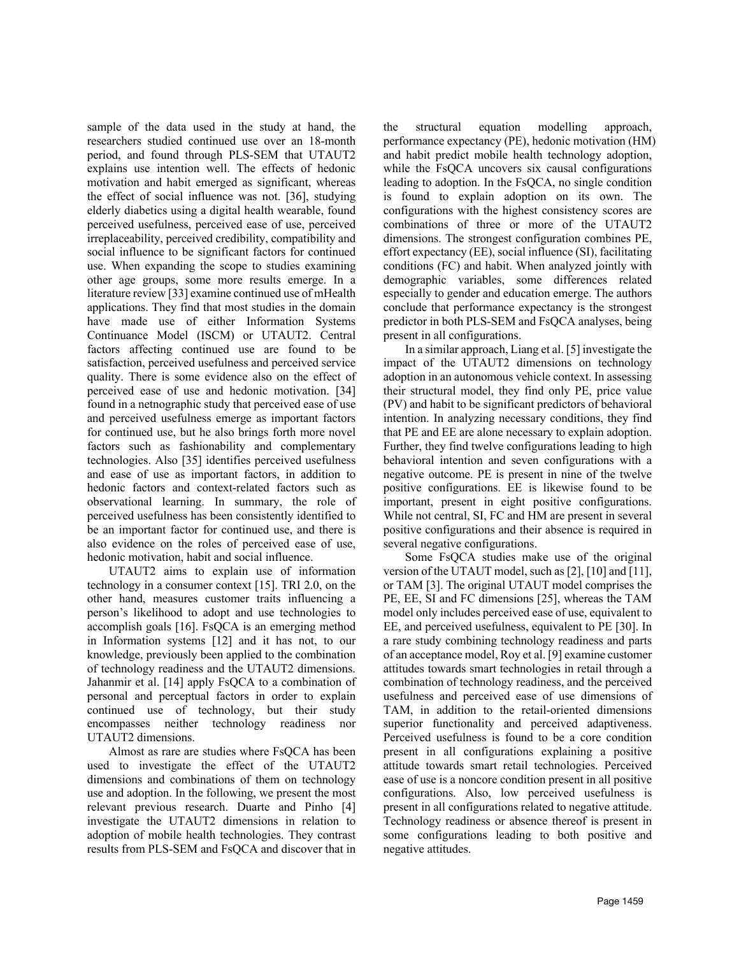sample of the data used in the study at hand, the researchers studied continued use over an 18-month period, and found through PLS-SEM that UTAUT2 explains use intention well. The effects of hedonic motivation and habit emerged as significant, whereas the effect of social influence was not. [36], studying elderly diabetics using a digital health wearable, found perceived usefulness, perceived ease of use, perceived irreplaceability, perceived credibility, compatibility and social influence to be significant factors for continued use. When expanding the scope to studies examining other age groups, some more results emerge. In a literature review [33] examine continued use of mHealth applications. They find that most studies in the domain have made use of either Information Systems Continuance Model (ISCM) or UTAUT2. Central factors affecting continued use are found to be satisfaction, perceived usefulness and perceived service quality. There is some evidence also on the effect of perceived ease of use and hedonic motivation. [34] found in a netnographic study that perceived ease of use and perceived usefulness emerge as important factors for continued use, but he also brings forth more novel factors such as fashionability and complementary technologies. Also [35] identifies perceived usefulness and ease of use as important factors, in addition to hedonic factors and context-related factors such as observational learning. In summary, the role of perceived usefulness has been consistently identified to be an important factor for continued use, and there is also evidence on the roles of perceived ease of use, hedonic motivation, habit and social influence.

UTAUT2 aims to explain use of information technology in a consumer context [15]. TRI 2.0, on the other hand, measures customer traits influencing a person's likelihood to adopt and use technologies to accomplish goals [16]. FsQCA is an emerging method in Information systems [12] and it has not, to our knowledge, previously been applied to the combination of technology readiness and the UTAUT2 dimensions. Jahanmir et al. [14] apply FsQCA to a combination of personal and perceptual factors in order to explain continued use of technology, but their study encompasses neither technology readiness nor UTAUT2 dimensions.

Almost as rare are studies where FsQCA has been used to investigate the effect of the UTAUT2 dimensions and combinations of them on technology use and adoption. In the following, we present the most relevant previous research. Duarte and Pinho [4] investigate the UTAUT2 dimensions in relation to adoption of mobile health technologies. They contrast results from PLS-SEM and FsQCA and discover that in the structural equation modelling approach, performance expectancy (PE), hedonic motivation (HM) and habit predict mobile health technology adoption, while the FsOCA uncovers six causal configurations leading to adoption. In the FsQCA, no single condition is found to explain adoption on its own. The configurations with the highest consistency scores are combinations of three or more of the UTAUT2 dimensions. The strongest configuration combines PE, effort expectancy (EE), social influence (SI), facilitating conditions (FC) and habit. When analyzed jointly with demographic variables, some differences related especially to gender and education emerge. The authors conclude that performance expectancy is the strongest predictor in both PLS-SEM and FsQCA analyses, being present in all configurations.

In a similar approach, Liang et al. [5] investigate the impact of the UTAUT2 dimensions on technology adoption in an autonomous vehicle context. In assessing their structural model, they find only PE, price value (PV) and habit to be significant predictors of behavioral intention. In analyzing necessary conditions, they find that PE and EE are alone necessary to explain adoption. Further, they find twelve configurations leading to high behavioral intention and seven configurations with a negative outcome. PE is present in nine of the twelve positive configurations. EE is likewise found to be important, present in eight positive configurations. While not central, SI, FC and HM are present in several positive configurations and their absence is required in several negative configurations.

Some FsQCA studies make use of the original version of the UTAUT model, such as [2], [10] and [11], or TAM [3]. The original UTAUT model comprises the PE, EE, SI and FC dimensions [25], whereas the TAM model only includes perceived ease of use, equivalent to EE, and perceived usefulness, equivalent to PE [30]. In a rare study combining technology readiness and parts of an acceptance model, Roy et al. [9] examine customer attitudes towards smart technologies in retail through a combination of technology readiness, and the perceived usefulness and perceived ease of use dimensions of TAM, in addition to the retail-oriented dimensions superior functionality and perceived adaptiveness. Perceived usefulness is found to be a core condition present in all configurations explaining a positive attitude towards smart retail technologies. Perceived ease of use is a noncore condition present in all positive configurations. Also, low perceived usefulness is present in all configurations related to negative attitude. Technology readiness or absence thereof is present in some configurations leading to both positive and negative attitudes.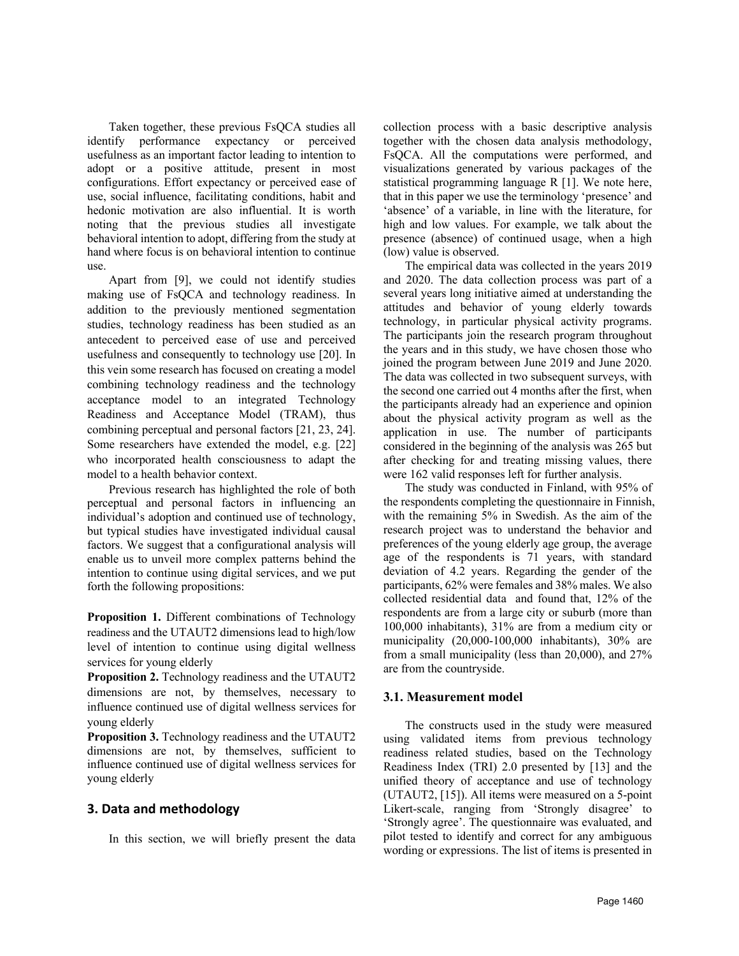Taken together, these previous FsQCA studies all identify performance expectancy or perceived usefulness as an important factor leading to intention to adopt or a positive attitude, present in most configurations. Effort expectancy or perceived ease of use, social influence, facilitating conditions, habit and hedonic motivation are also influential. It is worth noting that the previous studies all investigate behavioral intention to adopt, differing from the study at hand where focus is on behavioral intention to continue use.

Apart from [9], we could not identify studies making use of FsQCA and technology readiness. In addition to the previously mentioned segmentation studies, technology readiness has been studied as an antecedent to perceived ease of use and perceived usefulness and consequently to technology use [20]. In this vein some research has focused on creating a model combining technology readiness and the technology acceptance model to an integrated Technology Readiness and Acceptance Model (TRAM), thus combining perceptual and personal factors [21, 23, 24]. Some researchers have extended the model, e.g. [22] who incorporated health consciousness to adapt the model to a health behavior context.

Previous research has highlighted the role of both perceptual and personal factors in influencing an individual's adoption and continued use of technology, but typical studies have investigated individual causal factors. We suggest that a configurational analysis will enable us to unveil more complex patterns behind the intention to continue using digital services, and we put forth the following propositions:

**Proposition 1.** Different combinations of Technology readiness and the UTAUT2 dimensions lead to high/low level of intention to continue using digital wellness services for young elderly

**Proposition 2.** Technology readiness and the UTAUT2 dimensions are not, by themselves, necessary to influence continued use of digital wellness services for young elderly

**Proposition 3.** Technology readiness and the UTAUT2 dimensions are not, by themselves, sufficient to influence continued use of digital wellness services for young elderly

# **3. Data and methodology**

In this section, we will briefly present the data

collection process with a basic descriptive analysis together with the chosen data analysis methodology, FsQCA. All the computations were performed, and visualizations generated by various packages of the statistical programming language R [1]. We note here, that in this paper we use the terminology 'presence' and 'absence' of a variable, in line with the literature, for high and low values. For example, we talk about the presence (absence) of continued usage, when a high (low) value is observed.

The empirical data was collected in the years 2019 and 2020. The data collection process was part of a several years long initiative aimed at understanding the attitudes and behavior of young elderly towards technology, in particular physical activity programs. The participants join the research program throughout the years and in this study, we have chosen those who joined the program between June 2019 and June 2020. The data was collected in two subsequent surveys, with the second one carried out 4 months after the first, when the participants already had an experience and opinion about the physical activity program as well as the application in use. The number of participants considered in the beginning of the analysis was 265 but after checking for and treating missing values, there were 162 valid responses left for further analysis.

The study was conducted in Finland, with 95% of the respondents completing the questionnaire in Finnish, with the remaining 5% in Swedish. As the aim of the research project was to understand the behavior and preferences of the young elderly age group, the average age of the respondents is 71 years, with standard deviation of 4.2 years. Regarding the gender of the participants, 62% were females and 38% males. We also collected residential data and found that, 12% of the respondents are from a large city or suburb (more than 100,000 inhabitants), 31% are from a medium city or municipality (20,000-100,000 inhabitants), 30% are from a small municipality (less than 20,000), and 27% are from the countryside.

# **3.1. Measurement model**

The constructs used in the study were measured using validated items from previous technology readiness related studies, based on the Technology Readiness Index (TRI) 2.0 presented by [13] and the unified theory of acceptance and use of technology (UTAUT2, [15]). All items were measured on a 5-point Likert-scale, ranging from 'Strongly disagree' to 'Strongly agree'. The questionnaire was evaluated, and pilot tested to identify and correct for any ambiguous wording or expressions. The list of items is presented in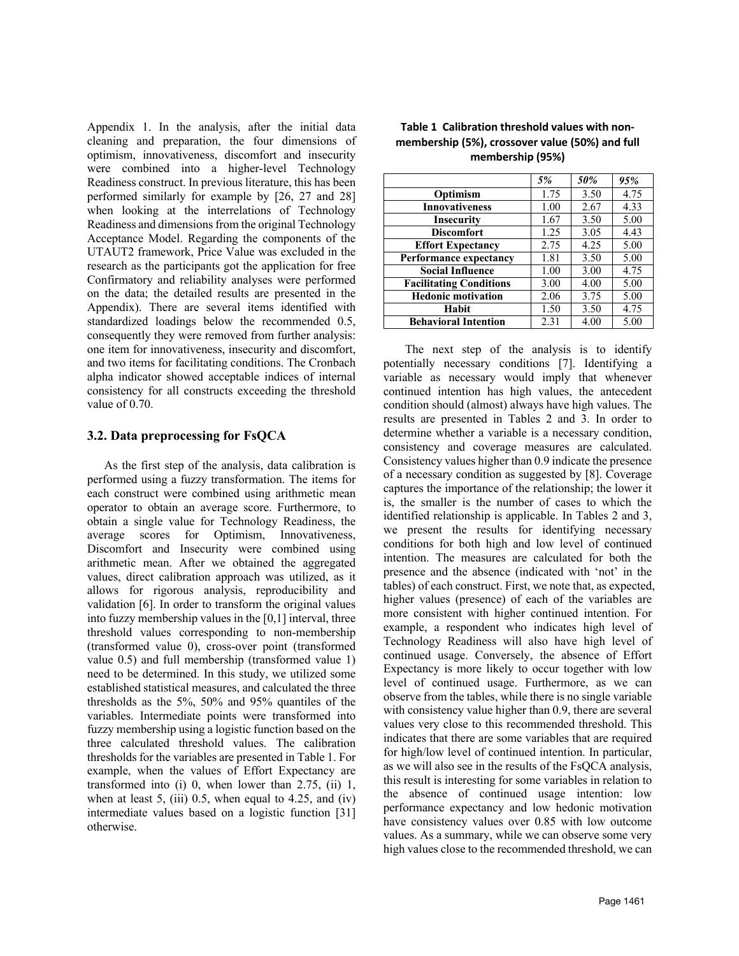Appendix 1. In the analysis, after the initial data cleaning and preparation, the four dimensions of optimism, innovativeness, discomfort and insecurity were combined into a higher-level Technology Readiness construct. In previous literature, this has been performed similarly for example by [26, 27 and 28] when looking at the interrelations of Technology Readiness and dimensions from the original Technology Acceptance Model. Regarding the components of the UTAUT2 framework, Price Value was excluded in the research as the participants got the application for free Confirmatory and reliability analyses were performed on the data; the detailed results are presented in the Appendix). There are several items identified with standardized loadings below the recommended 0.5, consequently they were removed from further analysis: one item for innovativeness, insecurity and discomfort, and two items for facilitating conditions. The Cronbach alpha indicator showed acceptable indices of internal consistency for all constructs exceeding the threshold value of 0.70.

# **3.2. Data preprocessing for FsQCA**

As the first step of the analysis, data calibration is performed using a fuzzy transformation. The items for each construct were combined using arithmetic mean operator to obtain an average score. Furthermore, to obtain a single value for Technology Readiness, the average scores for Optimism, Innovativeness, Discomfort and Insecurity were combined using arithmetic mean. After we obtained the aggregated values, direct calibration approach was utilized, as it allows for rigorous analysis, reproducibility and validation [6]. In order to transform the original values into fuzzy membership values in the [0,1] interval, three threshold values corresponding to non-membership (transformed value 0), cross-over point (transformed value 0.5) and full membership (transformed value 1) need to be determined. In this study, we utilized some established statistical measures, and calculated the three thresholds as the 5%, 50% and 95% quantiles of the variables. Intermediate points were transformed into fuzzy membership using a logistic function based on the three calculated threshold values. The calibration thresholds for the variables are presented in Table 1. For example, when the values of Effort Expectancy are transformed into (i) 0, when lower than 2.75, (ii) 1, when at least 5, (iii) 0.5, when equal to 4.25, and (iv) intermediate values based on a logistic function [31] otherwise.

# **Table 1 Calibration threshold values with nonmembership (5%), crossover value (50%) and full membership (95%)**

|                                | 5%   | 50%  | 95%  |
|--------------------------------|------|------|------|
| Optimism                       | 1.75 | 3.50 | 4.75 |
| <b>Innovativeness</b>          | 1.00 | 2.67 | 4.33 |
| <b>Insecurity</b>              | 1.67 | 3.50 | 5.00 |
| <b>Discomfort</b>              | 1.25 | 3.05 | 4.43 |
| <b>Effort Expectancy</b>       | 2.75 | 4.25 | 5.00 |
| Performance expectancy         | 1.81 | 3.50 | 5.00 |
| <b>Social Influence</b>        | 1.00 | 3.00 | 4.75 |
| <b>Facilitating Conditions</b> | 3.00 | 4.00 | 5.00 |
| <b>Hedonic motivation</b>      | 2.06 | 3.75 | 5.00 |
| Habit                          | 1.50 | 3.50 | 4.75 |
| <b>Behavioral Intention</b>    | 2.31 | 4.00 | 5.00 |

The next step of the analysis is to identify potentially necessary conditions [7]. Identifying a variable as necessary would imply that whenever continued intention has high values, the antecedent condition should (almost) always have high values. The results are presented in Tables 2 and 3. In order to determine whether a variable is a necessary condition, consistency and coverage measures are calculated. Consistency values higher than 0.9 indicate the presence of a necessary condition as suggested by [8]. Coverage captures the importance of the relationship; the lower it is, the smaller is the number of cases to which the identified relationship is applicable. In Tables 2 and 3, we present the results for identifying necessary conditions for both high and low level of continued intention. The measures are calculated for both the presence and the absence (indicated with 'not' in the tables) of each construct. First, we note that, as expected, higher values (presence) of each of the variables are more consistent with higher continued intention. For example, a respondent who indicates high level of Technology Readiness will also have high level of continued usage. Conversely, the absence of Effort Expectancy is more likely to occur together with low level of continued usage. Furthermore, as we can observe from the tables, while there is no single variable with consistency value higher than 0.9, there are several values very close to this recommended threshold. This indicates that there are some variables that are required for high/low level of continued intention. In particular, as we will also see in the results of the FsQCA analysis, this result is interesting for some variables in relation to the absence of continued usage intention: low performance expectancy and low hedonic motivation have consistency values over 0.85 with low outcome values. As a summary, while we can observe some very high values close to the recommended threshold, we can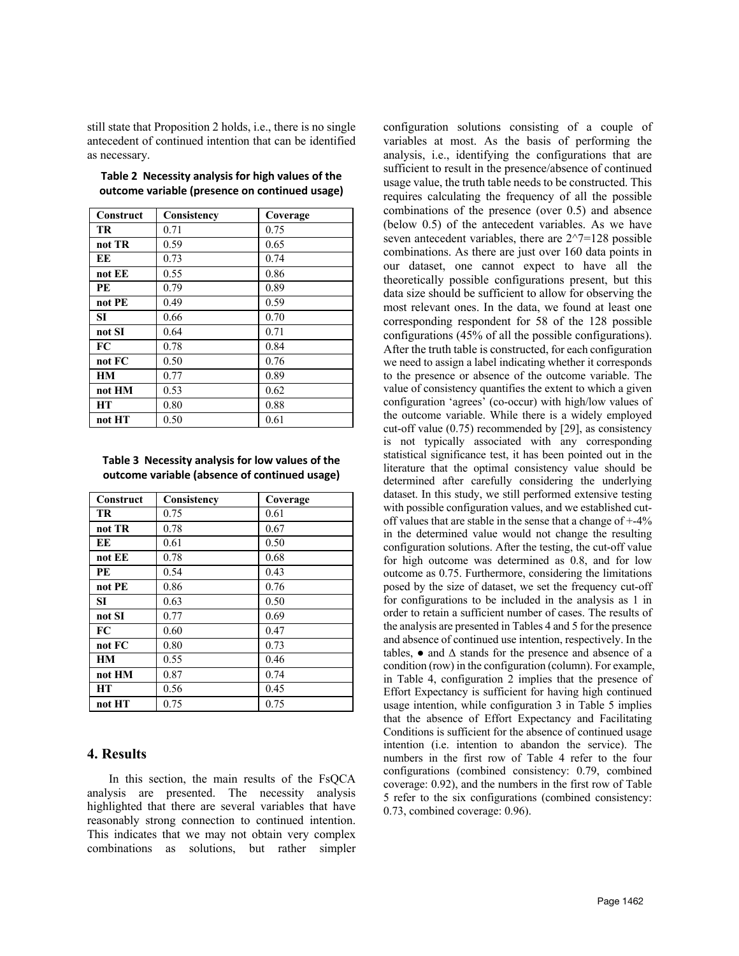still state that Proposition 2 holds, i.e., there is no single antecedent of continued intention that can be identified as necessary.

| Construct | Consistency | Coverage |
|-----------|-------------|----------|
| <b>TR</b> | 0.71        | 0.75     |
| not TR    | 0.59        | 0.65     |
| EE        | 0.73        | 0.74     |
| not EE    | 0.55        | 0.86     |
| PE        | 0.79        | 0.89     |
| not PE    | 0.49        | 0.59     |
| SI.       | 0.66        | 0.70     |
| not SI    | 0.64        | 0.71     |
| FC        | 0.78        | 0.84     |
| not FC    | 0.50        | 0.76     |
| <b>HM</b> | 0.77        | 0.89     |
| not HM    | 0.53        | 0.62     |
| <b>HT</b> | 0.80        | 0.88     |
| not HT    | 0.50        | 0.61     |

| Table 2 Necessity analysis for high values of the |  |
|---------------------------------------------------|--|
| outcome variable (presence on continued usage)    |  |

|  | Table 3 Necessity analysis for low values of the |  |
|--|--------------------------------------------------|--|
|  | outcome variable (absence of continued usage)    |  |

| Construct | Consistency | Coverage |
|-----------|-------------|----------|
| TR        | 0.75        | 0.61     |
| not TR    | 0.78        | 0.67     |
| EE        | 0.61        | 0.50     |
| not EE    | 0.78        | 0.68     |
| <b>PE</b> | 0.54        | 0.43     |
| not PE    | 0.86        | 0.76     |
| SI        | 0.63        | 0.50     |
| not SI    | 0.77        | 0.69     |
| FC        | 0.60        | 0.47     |
| not FC    | 0.80        | 0.73     |
| <b>HM</b> | 0.55        | 0.46     |
| not HM    | 0.87        | 0.74     |
| <b>HT</b> | 0.56        | 0.45     |
| not HT    | 0.75        | 0.75     |

# **4. Results**

In this section, the main results of the FsQCA analysis are presented. The necessity analysis highlighted that there are several variables that have reasonably strong connection to continued intention. This indicates that we may not obtain very complex combinations as solutions, but rather simpler

configuration solutions consisting of a couple of variables at most. As the basis of performing the analysis, i.e., identifying the configurations that are sufficient to result in the presence/absence of continued usage value, the truth table needs to be constructed. This requires calculating the frequency of all the possible combinations of the presence (over 0.5) and absence (below 0.5) of the antecedent variables. As we have seven antecedent variables, there are  $2^{\wedge}7=128$  possible combinations. As there are just over 160 data points in our dataset, one cannot expect to have all the theoretically possible configurations present, but this data size should be sufficient to allow for observing the most relevant ones. In the data, we found at least one corresponding respondent for 58 of the 128 possible configurations (45% of all the possible configurations). After the truth table is constructed, for each configuration we need to assign a label indicating whether it corresponds to the presence or absence of the outcome variable. The value of consistency quantifies the extent to which a given configuration 'agrees' (co-occur) with high/low values of the outcome variable. While there is a widely employed cut-off value (0.75) recommended by [29], as consistency is not typically associated with any corresponding statistical significance test, it has been pointed out in the literature that the optimal consistency value should be determined after carefully considering the underlying dataset. In this study, we still performed extensive testing with possible configuration values, and we established cutoff values that are stable in the sense that a change of +-4% in the determined value would not change the resulting configuration solutions. After the testing, the cut-off value for high outcome was determined as 0.8, and for low outcome as 0.75. Furthermore, considering the limitations posed by the size of dataset, we set the frequency cut-off for configurations to be included in the analysis as 1 in order to retain a sufficient number of cases. The results of the analysis are presented in Tables 4 and 5 for the presence and absence of continued use intention, respectively. In the tables,  $\bullet$  and  $\Delta$  stands for the presence and absence of a condition (row) in the configuration (column). For example, in Table 4, configuration 2 implies that the presence of Effort Expectancy is sufficient for having high continued usage intention, while configuration 3 in Table 5 implies that the absence of Effort Expectancy and Facilitating Conditions is sufficient for the absence of continued usage intention (i.e. intention to abandon the service). The numbers in the first row of Table 4 refer to the four configurations (combined consistency: 0.79, combined coverage: 0.92), and the numbers in the first row of Table 5 refer to the six configurations (combined consistency: 0.73, combined coverage: 0.96).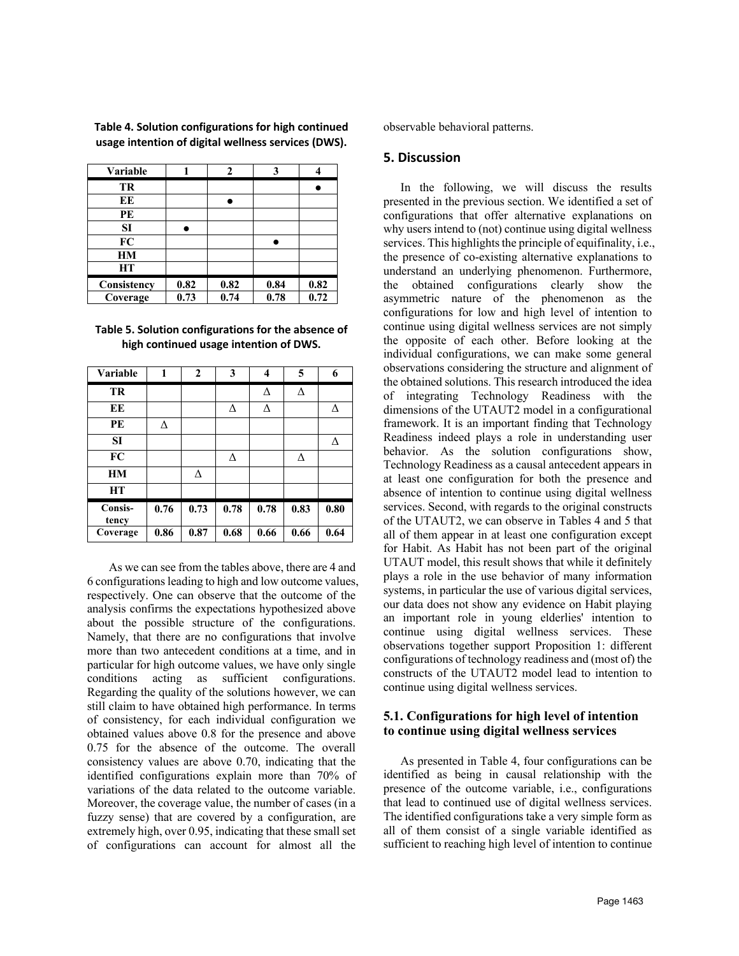| <b>Variable</b> |      | າ    | 3    |      |
|-----------------|------|------|------|------|
| TR              |      |      |      |      |
| EЕ              |      |      |      |      |
| PE              |      |      |      |      |
| SI              |      |      |      |      |
| FC              |      |      |      |      |
| HM              |      |      |      |      |
| <b>HT</b>       |      |      |      |      |
| Consistency     | 0.82 | 0.82 | 0.84 | 0.82 |
| Coverage        | 0.73 | 0.74 | 0.78 | 0.72 |

**Table 4. Solution configurations for high continued usage intention of digital wellness services (DWS).** 

| Table 5. Solution configurations for the absence of |  |
|-----------------------------------------------------|--|
| high continued usage intention of DWS.              |  |

| Variable                | 1    | $\overline{2}$ | $\mathbf{3}$ | 4    | 5    | 6    |
|-------------------------|------|----------------|--------------|------|------|------|
| TR                      |      |                |              | Δ    | Δ    |      |
| EE                      |      |                | Δ            | Δ    |      | Δ    |
| PE                      | Δ    |                |              |      |      |      |
| <b>SI</b>               |      |                |              |      |      | ٨    |
| FC                      |      |                | Δ            |      | Δ    |      |
| <b>HM</b>               |      | Δ              |              |      |      |      |
| <b>HT</b>               |      |                |              |      |      |      |
| <b>Consis-</b><br>tency | 0.76 | 0.73           | 0.78         | 0.78 | 0.83 | 0.80 |
| Coverage                | 0.86 | 0.87           | 0.68         | 0.66 | 0.66 | 0.64 |

As we can see from the tables above, there are 4 and 6 configurations leading to high and low outcome values, respectively. One can observe that the outcome of the analysis confirms the expectations hypothesized above about the possible structure of the configurations. Namely, that there are no configurations that involve more than two antecedent conditions at a time, and in particular for high outcome values, we have only single conditions acting as sufficient configurations. Regarding the quality of the solutions however, we can still claim to have obtained high performance. In terms of consistency, for each individual configuration we obtained values above 0.8 for the presence and above 0.75 for the absence of the outcome. The overall consistency values are above 0.70, indicating that the identified configurations explain more than 70% of variations of the data related to the outcome variable. Moreover, the coverage value, the number of cases (in a fuzzy sense) that are covered by a configuration, are extremely high, over 0.95, indicating that these small set of configurations can account for almost all the

observable behavioral patterns.

### **5. Discussion**

In the following, we will discuss the results presented in the previous section. We identified a set of configurations that offer alternative explanations on why users intend to (not) continue using digital wellness services. This highlights the principle of equifinality, i.e., the presence of co-existing alternative explanations to understand an underlying phenomenon. Furthermore, the obtained configurations clearly show the asymmetric nature of the phenomenon as the configurations for low and high level of intention to continue using digital wellness services are not simply the opposite of each other. Before looking at the individual configurations, we can make some general observations considering the structure and alignment of the obtained solutions. This research introduced the idea of integrating Technology Readiness with the dimensions of the UTAUT2 model in a configurational framework. It is an important finding that Technology Readiness indeed plays a role in understanding user behavior. As the solution configurations show, Technology Readiness as a causal antecedent appears in at least one configuration for both the presence and absence of intention to continue using digital wellness services. Second, with regards to the original constructs of the UTAUT2, we can observe in Tables 4 and 5 that all of them appear in at least one configuration except for Habit. As Habit has not been part of the original UTAUT model, this result shows that while it definitely plays a role in the use behavior of many information systems, in particular the use of various digital services, our data does not show any evidence on Habit playing an important role in young elderlies' intention to continue using digital wellness services. These observations together support Proposition 1: different configurations of technology readiness and (most of) the constructs of the UTAUT2 model lead to intention to continue using digital wellness services.

# **5.1. Configurations for high level of intention to continue using digital wellness services**

As presented in Table 4, four configurations can be identified as being in causal relationship with the presence of the outcome variable, i.e., configurations that lead to continued use of digital wellness services. The identified configurations take a very simple form as all of them consist of a single variable identified as sufficient to reaching high level of intention to continue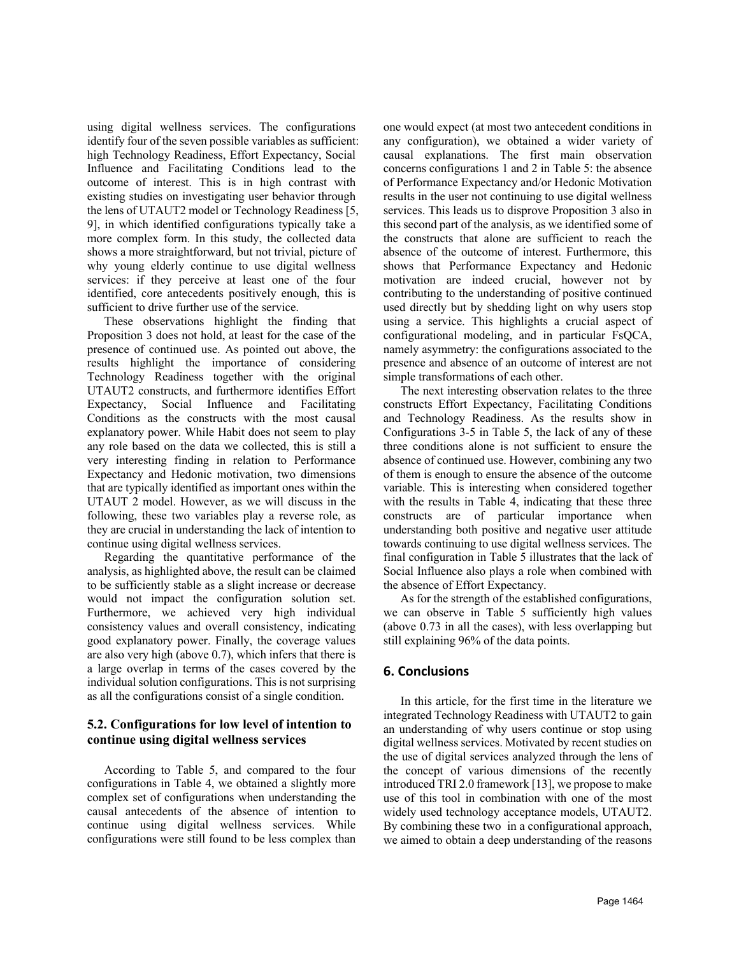using digital wellness services. The configurations identify four of the seven possible variables as sufficient: high Technology Readiness, Effort Expectancy, Social Influence and Facilitating Conditions lead to the outcome of interest. This is in high contrast with existing studies on investigating user behavior through the lens of UTAUT2 model or Technology Readiness [5, 9], in which identified configurations typically take a more complex form. In this study, the collected data shows a more straightforward, but not trivial, picture of why young elderly continue to use digital wellness services: if they perceive at least one of the four identified, core antecedents positively enough, this is sufficient to drive further use of the service.

These observations highlight the finding that Proposition 3 does not hold, at least for the case of the presence of continued use. As pointed out above, the results highlight the importance of considering Technology Readiness together with the original UTAUT2 constructs, and furthermore identifies Effort Expectancy, Social Influence and Facilitating Conditions as the constructs with the most causal explanatory power. While Habit does not seem to play any role based on the data we collected, this is still a very interesting finding in relation to Performance Expectancy and Hedonic motivation, two dimensions that are typically identified as important ones within the UTAUT 2 model. However, as we will discuss in the following, these two variables play a reverse role, as they are crucial in understanding the lack of intention to continue using digital wellness services.

Regarding the quantitative performance of the analysis, as highlighted above, the result can be claimed to be sufficiently stable as a slight increase or decrease would not impact the configuration solution set. Furthermore, we achieved very high individual consistency values and overall consistency, indicating good explanatory power. Finally, the coverage values are also very high (above 0.7), which infers that there is a large overlap in terms of the cases covered by the individual solution configurations. This is not surprising as all the configurations consist of a single condition.

# **5.2. Configurations for low level of intention to continue using digital wellness services**

According to Table 5, and compared to the four configurations in Table 4, we obtained a slightly more complex set of configurations when understanding the causal antecedents of the absence of intention to continue using digital wellness services. While configurations were still found to be less complex than

one would expect (at most two antecedent conditions in any configuration), we obtained a wider variety of causal explanations. The first main observation concerns configurations 1 and 2 in Table 5: the absence of Performance Expectancy and/or Hedonic Motivation results in the user not continuing to use digital wellness services. This leads us to disprove Proposition 3 also in this second part of the analysis, as we identified some of the constructs that alone are sufficient to reach the absence of the outcome of interest. Furthermore, this shows that Performance Expectancy and Hedonic motivation are indeed crucial, however not by contributing to the understanding of positive continued used directly but by shedding light on why users stop using a service. This highlights a crucial aspect of configurational modeling, and in particular FsQCA, namely asymmetry: the configurations associated to the presence and absence of an outcome of interest are not simple transformations of each other.

The next interesting observation relates to the three constructs Effort Expectancy, Facilitating Conditions and Technology Readiness. As the results show in Configurations 3-5 in Table 5, the lack of any of these three conditions alone is not sufficient to ensure the absence of continued use. However, combining any two of them is enough to ensure the absence of the outcome variable. This is interesting when considered together with the results in Table 4, indicating that these three constructs are of particular importance when understanding both positive and negative user attitude towards continuing to use digital wellness services. The final configuration in Table 5 illustrates that the lack of Social Influence also plays a role when combined with the absence of Effort Expectancy.

As for the strength of the established configurations, we can observe in Table 5 sufficiently high values (above 0.73 in all the cases), with less overlapping but still explaining 96% of the data points.

# **6. Conclusions**

In this article, for the first time in the literature we integrated Technology Readiness with UTAUT2 to gain an understanding of why users continue or stop using digital wellness services. Motivated by recent studies on the use of digital services analyzed through the lens of the concept of various dimensions of the recently introduced TRI 2.0 framework [13], we propose to make use of this tool in combination with one of the most widely used technology acceptance models, UTAUT2. By combining these two in a configurational approach, we aimed to obtain a deep understanding of the reasons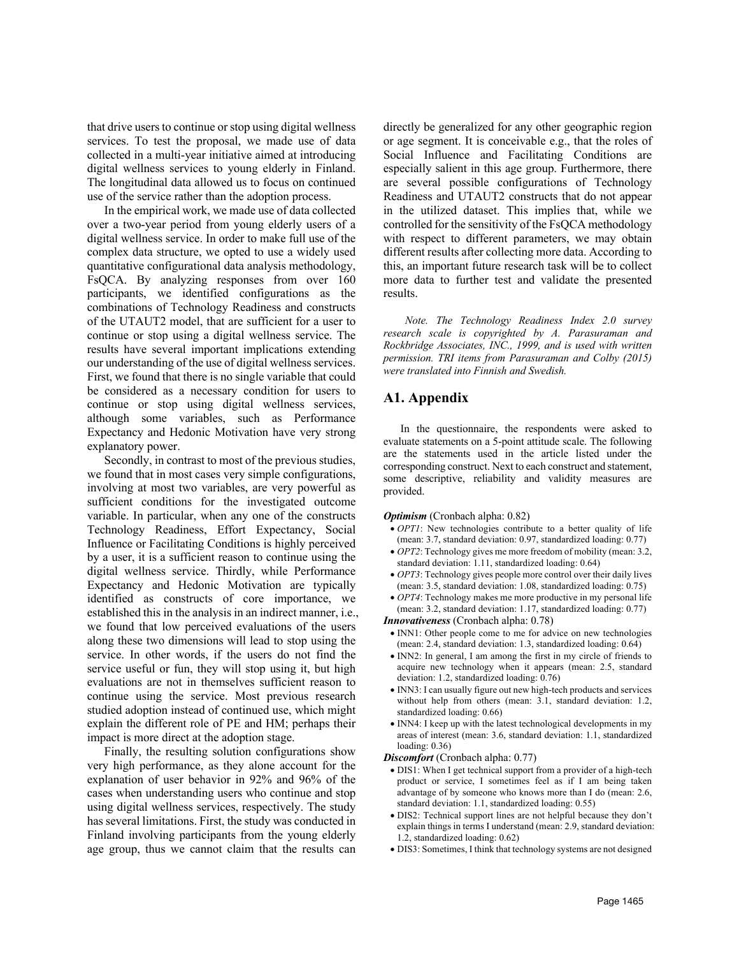that drive users to continue or stop using digital wellness services. To test the proposal, we made use of data collected in a multi-year initiative aimed at introducing digital wellness services to young elderly in Finland. The longitudinal data allowed us to focus on continued use of the service rather than the adoption process.

In the empirical work, we made use of data collected over a two-year period from young elderly users of a digital wellness service. In order to make full use of the complex data structure, we opted to use a widely used quantitative configurational data analysis methodology, FsQCA. By analyzing responses from over 160 participants, we identified configurations as the combinations of Technology Readiness and constructs of the UTAUT2 model, that are sufficient for a user to continue or stop using a digital wellness service. The results have several important implications extending our understanding of the use of digital wellness services. First, we found that there is no single variable that could be considered as a necessary condition for users to continue or stop using digital wellness services, although some variables, such as Performance Expectancy and Hedonic Motivation have very strong explanatory power.

Secondly, in contrast to most of the previous studies, we found that in most cases very simple configurations, involving at most two variables, are very powerful as sufficient conditions for the investigated outcome variable. In particular, when any one of the constructs Technology Readiness, Effort Expectancy, Social Influence or Facilitating Conditions is highly perceived by a user, it is a sufficient reason to continue using the digital wellness service. Thirdly, while Performance Expectancy and Hedonic Motivation are typically identified as constructs of core importance, we established this in the analysis in an indirect manner, i.e., we found that low perceived evaluations of the users along these two dimensions will lead to stop using the service. In other words, if the users do not find the service useful or fun, they will stop using it, but high evaluations are not in themselves sufficient reason to continue using the service. Most previous research studied adoption instead of continued use, which might explain the different role of PE and HM; perhaps their impact is more direct at the adoption stage.

Finally, the resulting solution configurations show very high performance, as they alone account for the explanation of user behavior in 92% and 96% of the cases when understanding users who continue and stop using digital wellness services, respectively. The study has several limitations. First, the study was conducted in Finland involving participants from the young elderly age group, thus we cannot claim that the results can

directly be generalized for any other geographic region or age segment. It is conceivable e.g., that the roles of Social Influence and Facilitating Conditions are especially salient in this age group. Furthermore, there are several possible configurations of Technology Readiness and UTAUT2 constructs that do not appear in the utilized dataset. This implies that, while we controlled for the sensitivity of the FsQCA methodology with respect to different parameters, we may obtain different results after collecting more data. According to this, an important future research task will be to collect more data to further test and validate the presented results.

*Note. The Technology Readiness Index 2.0 survey research scale is copyrighted by A. Parasuraman and Rockbridge Associates, INC., 1999, and is used with written permission. TRI items from Parasuraman and Colby (2015) were translated into Finnish and Swedish.*

# **A1. Appendix**

In the questionnaire, the respondents were asked to evaluate statements on a 5-point attitude scale. The following are the statements used in the article listed under the corresponding construct. Next to each construct and statement, some descriptive, reliability and validity measures are provided.

### *Optimism* (Cronbach alpha: 0.82)

- *OPT1*: New technologies contribute to a better quality of life (mean: 3.7, standard deviation: 0.97, standardized loading: 0.77)
- *OPT2*: Technology gives me more freedom of mobility (mean: 3.2, standard deviation: 1.11, standardized loading: 0.64)
- *OPT3*: Technology gives people more control over their daily lives (mean: 3.5, standard deviation: 1.08, standardized loading: 0.75)
- *OPT4*: Technology makes me more productive in my personal life (mean: 3.2, standard deviation: 1.17, standardized loading: 0.77)

*Innovativeness* (Cronbach alpha: 0.78)

- INN1: Other people come to me for advice on new technologies (mean: 2.4, standard deviation: 1.3, standardized loading: 0.64)
- INN2: In general, I am among the first in my circle of friends to acquire new technology when it appears (mean: 2.5, standard deviation: 1.2, standardized loading: 0.76)
- INN3: I can usually figure out new high-tech products and services without help from others (mean: 3.1, standard deviation: 1.2, standardized loading: 0.66)
- INN4: I keep up with the latest technological developments in my areas of interest (mean: 3.6, standard deviation: 1.1, standardized loading: 0.36)

*Discomfort* (Cronbach alpha: 0.77)

- DIS1: When I get technical support from a provider of a high-tech product or service, I sometimes feel as if I am being taken advantage of by someone who knows more than I do (mean: 2.6, standard deviation: 1.1, standardized loading: 0.55)
- DIS2: Technical support lines are not helpful because they don't explain things in terms I understand (mean: 2.9, standard deviation: 1.2, standardized loading: 0.62)
- DIS3: Sometimes, I think that technology systems are not designed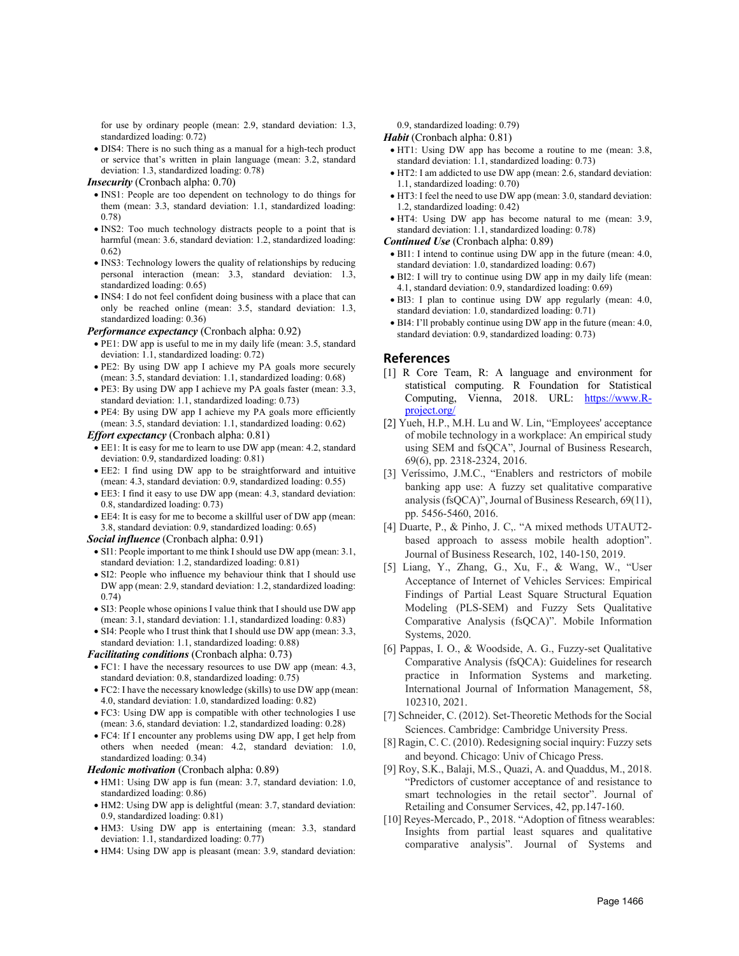for use by ordinary people (mean: 2.9, standard deviation: 1.3, standardized loading: 0.72)

• DIS4: There is no such thing as a manual for a high-tech product or service that's written in plain language (mean: 3.2, standard deviation: 1.3, standardized loading: 0.78)

*Insecurity* (Cronbach alpha: 0.70)

- INS1: People are too dependent on technology to do things for them (mean: 3.3, standard deviation: 1.1, standardized loading: 0.78)
- INS2: Too much technology distracts people to a point that is harmful (mean: 3.6, standard deviation: 1.2, standardized loading: 0.62)
- INS3: Technology lowers the quality of relationships by reducing personal interaction (mean: 3.3, standard deviation: 1.3, standardized loading: 0.65)
- INS4: I do not feel confident doing business with a place that can only be reached online (mean: 3.5, standard deviation: 1.3, standardized loading: 0.36)

*Performance expectancy* (Cronbach alpha: 0.92)

- PE1: DW app is useful to me in my daily life (mean: 3.5, standard deviation: 1.1, standardized loading: 0.72)
- PE2: By using DW app I achieve my PA goals more securely (mean: 3.5, standard deviation: 1.1, standardized loading: 0.68)
- PE3: By using DW app I achieve my PA goals faster (mean: 3.3, standard deviation: 1.1, standardized loading: 0.73)
- PE4: By using DW app I achieve my PA goals more efficiently (mean: 3.5, standard deviation: 1.1, standardized loading: 0.62)

#### *Effort expectancy* (Cronbach alpha: 0.81)

- EE1: It is easy for me to learn to use DW app (mean: 4.2, standard deviation: 0.9, standardized loading: 0.81)
- EE2: I find using DW app to be straightforward and intuitive (mean: 4.3, standard deviation: 0.9, standardized loading: 0.55)
- EE3: I find it easy to use DW app (mean: 4.3, standard deviation: 0.8, standardized loading: 0.73)
- EE4: It is easy for me to become a skillful user of DW app (mean: 3.8, standard deviation: 0.9, standardized loading: 0.65)

#### *Social influence* (Cronbach alpha: 0.91)

- SI1: People important to me think I should use DW app (mean: 3.1, standard deviation: 1.2, standardized loading: 0.81)
- SI2: People who influence my behaviour think that I should use DW app (mean: 2.9, standard deviation: 1.2, standardized loading: 0.74)
- SI3: People whose opinions I value think that I should use DW app (mean: 3.1, standard deviation: 1.1, standardized loading: 0.83)
- SI4: People who I trust think that I should use DW app (mean: 3.3, standard deviation: 1.1, standardized loading: 0.88)

### *Facilitating conditions* (Cronbach alpha: 0.73)

- FC1: I have the necessary resources to use DW app (mean: 4.3, standard deviation: 0.8, standardized loading: 0.75)
- FC2: I have the necessary knowledge (skills) to use DW app (mean: 4.0, standard deviation: 1.0, standardized loading: 0.82)
- FC3: Using DW app is compatible with other technologies I use (mean: 3.6, standard deviation: 1.2, standardized loading: 0.28)
- FC4: If I encounter any problems using DW app, I get help from others when needed (mean: 4.2, standard deviation: 1.0, standardized loading: 0.34)

#### *Hedonic motivation* (Cronbach alpha: 0.89)

- HM1: Using DW app is fun (mean: 3.7, standard deviation: 1.0, standardized loading: 0.86)
- HM2: Using DW app is delightful (mean: 3.7, standard deviation: 0.9, standardized loading: 0.81)
- HM3: Using DW app is entertaining (mean: 3.3, standard deviation: 1.1, standardized loading: 0.77)
- HM4: Using DW app is pleasant (mean: 3.9, standard deviation:

0.9, standardized loading: 0.79)

### *Habit* (Cronbach alpha: 0.81)

- HT1: Using DW app has become a routine to me (mean: 3.8, standard deviation: 1.1, standardized loading: 0.73)
- HT2: I am addicted to use DW app (mean: 2.6, standard deviation: 1.1, standardized loading: 0.70)
- HT3: I feel the need to use DW app (mean: 3.0, standard deviation: 1.2, standardized loading: 0.42)
- HT4: Using DW app has become natural to me (mean: 3.9, standard deviation: 1.1, standardized loading: 0.78)

### *Continued Use* (Cronbach alpha: 0.89)

- BI1: I intend to continue using DW app in the future (mean: 4.0, standard deviation: 1.0, standardized loading: 0.67)
- BI2: I will try to continue using DW app in my daily life (mean: 4.1, standard deviation: 0.9, standardized loading: 0.69)
- BI3: I plan to continue using DW app regularly (mean: 4.0, standard deviation: 1.0, standardized loading: 0.71)
- BI4: I'll probably continue using DW app in the future (mean: 4.0, standard deviation: 0.9, standardized loading: 0.73)

### **References**

- [1] R Core Team, R: A language and environment for statistical computing. R Foundation for Statistical Computing, Vienna, 2018. URL: https://www.Rproject.org/
- [2] Yueh, H.P., M.H. Lu and W. Lin, "Employees' acceptance of mobile technology in a workplace: An empirical study using SEM and fsQCA", Journal of Business Research, 69(6), pp. 2318-2324, 2016.
- [3] Veríssimo, J.M.C., "Enablers and restrictors of mobile banking app use: A fuzzy set qualitative comparative analysis (fsQCA)", Journal of Business Research, 69(11), pp. 5456-5460, 2016.
- [4] Duarte, P., & Pinho, J. C,. "A mixed methods UTAUT2 based approach to assess mobile health adoption". Journal of Business Research, 102, 140-150, 2019.
- [5] Liang, Y., Zhang, G., Xu, F., & Wang, W., "User Acceptance of Internet of Vehicles Services: Empirical Findings of Partial Least Square Structural Equation Modeling (PLS-SEM) and Fuzzy Sets Qualitative Comparative Analysis (fsQCA)". Mobile Information Systems, 2020.
- [6] Pappas, I. O., & Woodside, A. G., Fuzzy-set Qualitative Comparative Analysis (fsQCA): Guidelines for research practice in Information Systems and marketing. International Journal of Information Management, 58, 102310, 2021.
- [7] Schneider, C. (2012). Set-Theoretic Methods for the Social Sciences. Cambridge: Cambridge University Press.
- [8] Ragin, C. C. (2010). Redesigning social inquiry: Fuzzy sets and beyond. Chicago: Univ of Chicago Press.
- [9] Roy, S.K., Balaji, M.S., Quazi, A. and Quaddus, M., 2018. "Predictors of customer acceptance of and resistance to smart technologies in the retail sector". Journal of Retailing and Consumer Services, 42, pp.147-160.
- [10] Reyes-Mercado, P., 2018. "Adoption of fitness wearables: Insights from partial least squares and qualitative comparative analysis". Journal of Systems and